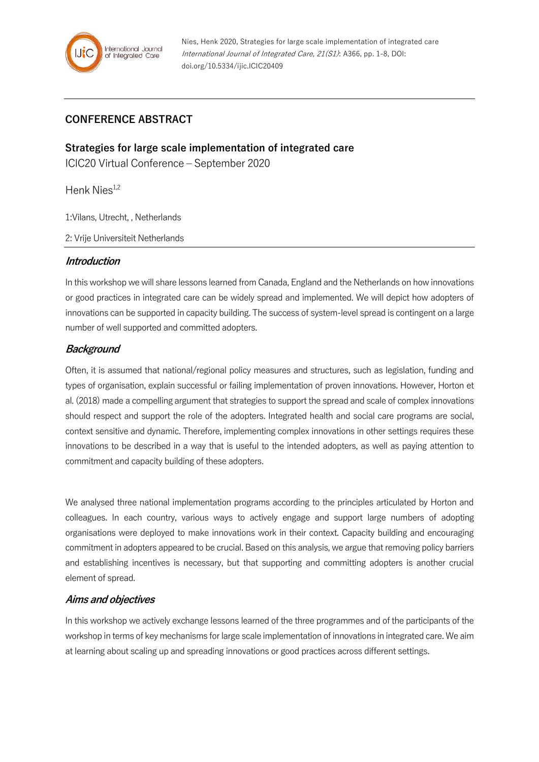

## **CONFERENCE ABSTRACT**

**Strategies for large scale implementation of integrated care**

ICIC20 Virtual Conference – September 2020

Henk Nies $^{1,2}$ 

1:Vilans, Utrecht, , Netherlands

2: Vrije Universiteit Netherlands

#### **Introduction**

In this workshop we will share lessons learned from Canada, England and the Netherlands on how innovations or good practices in integrated care can be widely spread and implemented. We will depict how adopters of innovations can be supported in capacity building. The success of system-level spread is contingent on a large number of well supported and committed adopters.

### **Background**

Often, it is assumed that national/regional policy measures and structures, such as legislation, funding and types of organisation, explain successful or failing implementation of proven innovations. However, Horton et al. (2018) made a compelling argument that strategies to support the spread and scale of complex innovations should respect and support the role of the adopters. Integrated health and social care programs are social, context sensitive and dynamic. Therefore, implementing complex innovations in other settings requires these innovations to be described in a way that is useful to the intended adopters, as well as paying attention to commitment and capacity building of these adopters.

We analysed three national implementation programs according to the principles articulated by Horton and colleagues. In each country, various ways to actively engage and support large numbers of adopting organisations were deployed to make innovations work in their context. Capacity building and encouraging commitment in adopters appeared to be crucial. Based on this analysis, we argue that removing policy barriers and establishing incentives is necessary, but that supporting and committing adopters is another crucial element of spread.

### **Aims and objectives**

In this workshop we actively exchange lessons learned of the three programmes and of the participants of the workshop in terms of key mechanisms for large scale implementation of innovations in integrated care. We aim at learning about scaling up and spreading innovations or good practices across different settings.